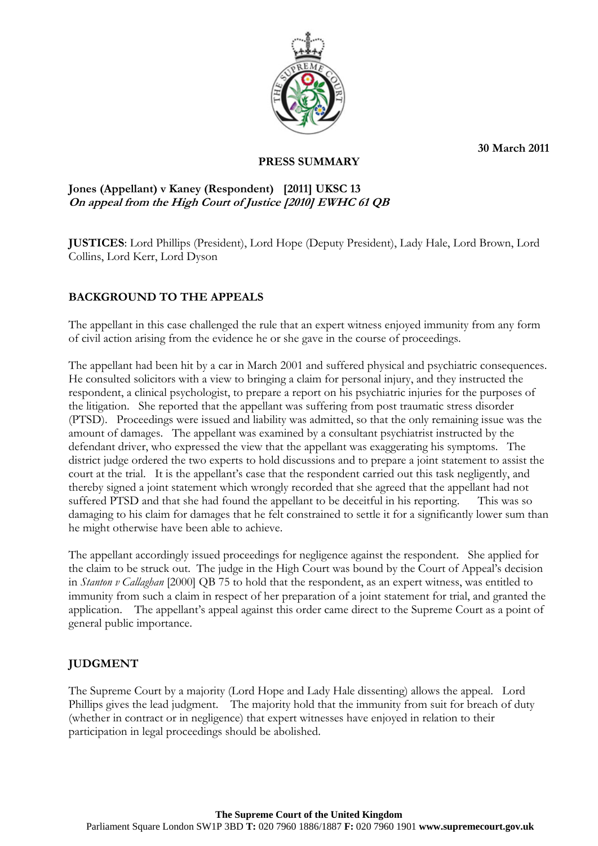**30 March 2011** 



## **PRESS SUMMARY**

## **Jones (Appellant) v Kaney (Respondent) [2011] UKSC 13 On appeal from the High Court of Justice [2010] EWHC 61 QB**

**JUSTICES**: Lord Phillips (President), Lord Hope (Deputy President), Lady Hale, Lord Brown, Lord Collins, Lord Kerr, Lord Dyson

# **BACKGROUND TO THE APPEALS**

The appellant in this case challenged the rule that an expert witness enjoyed immunity from any form of civil action arising from the evidence he or she gave in the course of proceedings.

The appellant had been hit by a car in March 2001 and suffered physical and psychiatric consequences. He consulted solicitors with a view to bringing a claim for personal injury, and they instructed the respondent, a clinical psychologist, to prepare a report on his psychiatric injuries for the purposes of the litigation. She reported that the appellant was suffering from post traumatic stress disorder (PTSD). Proceedings were issued and liability was admitted, so that the only remaining issue was the amount of damages. The appellant was examined by a consultant psychiatrist instructed by the defendant driver, who expressed the view that the appellant was exaggerating his symptoms. The district judge ordered the two experts to hold discussions and to prepare a joint statement to assist the court at the trial. It is the appellant's case that the respondent carried out this task negligently, and thereby signed a joint statement which wrongly recorded that she agreed that the appellant had not suffered PTSD and that she had found the appellant to be deceitful in his reporting. This was so damaging to his claim for damages that he felt constrained to settle it for a significantly lower sum than he might otherwise have been able to achieve.

The appellant accordingly issued proceedings for negligence against the respondent. She applied for the claim to be struck out. The judge in the High Court was bound by the Court of Appeal's decision in *Stanton v Callaghan* [2000] QB 75 to hold that the respondent, as an expert witness, was entitled to immunity from such a claim in respect of her preparation of a joint statement for trial, and granted the application. The appellant's appeal against this order came direct to the Supreme Court as a point of general public importance.

## **JUDGMENT**

The Supreme Court by a majority (Lord Hope and Lady Hale dissenting) allows the appeal. Lord Phillips gives the lead judgment. The majority hold that the immunity from suit for breach of duty (whether in contract or in negligence) that expert witnesses have enjoyed in relation to their participation in legal proceedings should be abolished.